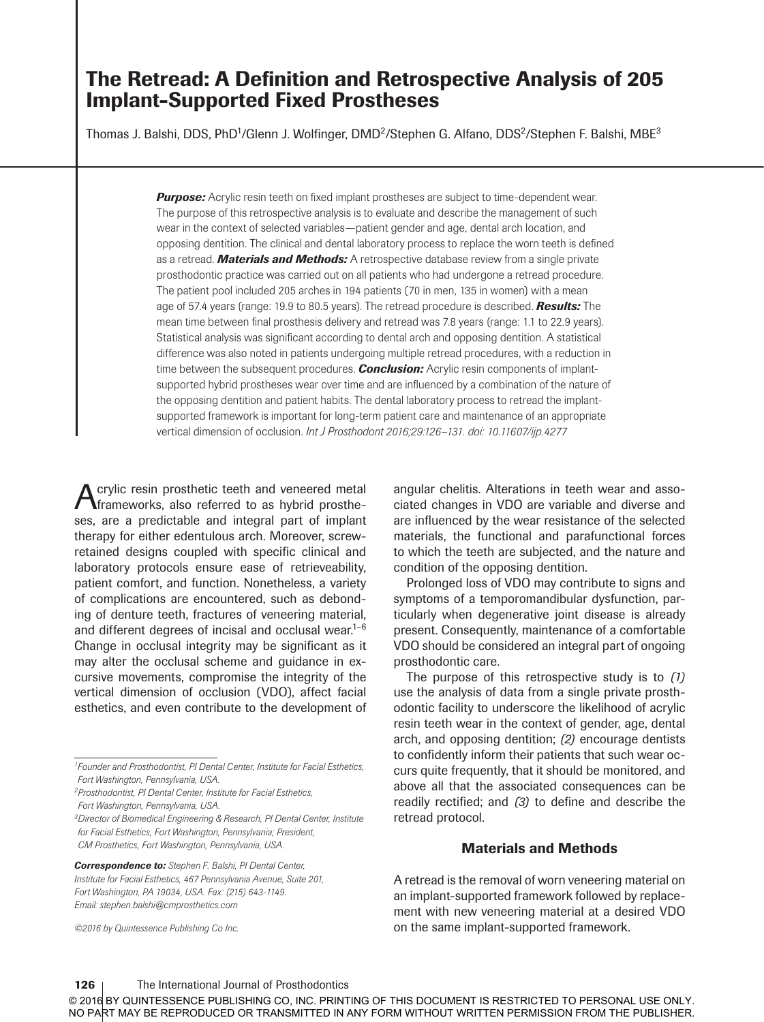# The Retread: A Definition and Retrospective Analysis of 205 Implant-Supported Fixed Prostheses

Thomas J. Balshi, DDS, PhD<sup>1</sup>/Glenn J. Wolfinger, DMD<sup>2</sup>/Stephen G. Alfano, DDS<sup>2</sup>/Stephen F. Balshi, MBE<sup>3</sup>

**Purpose:** Acrylic resin teeth on fixed implant prostheses are subject to time-dependent wear. The purpose of this retrospective analysis is to evaluate and describe the management of such wear in the context of selected variables—patient gender and age, dental arch location, and opposing dentition. The clinical and dental laboratory process to replace the worn teeth is defined as a retread. *Materials and Methods:* A retrospective database review from a single private prosthodontic practice was carried out on all patients who had undergone a retread procedure. The patient pool included 205 arches in 194 patients (70 in men, 135 in women) with a mean age of 57.4 years (range: 19.9 to 80.5 years). The retread procedure is described. *Results:* The mean time between final prosthesis delivery and retread was 7.8 years (range: 1.1 to 22.9 years). Statistical analysis was significant according to dental arch and opposing dentition. A statistical difference was also noted in patients undergoing multiple retread procedures, with a reduction in time between the subsequent procedures. *Conclusion:* Acrylic resin components of implantsupported hybrid prostheses wear over time and are influenced by a combination of the nature of the opposing dentition and patient habits. The dental laboratory process to retread the implantsupported framework is important for long-term patient care and maintenance of an appropriate vertical dimension of occlusion. *Int J Prosthodont 2016;29:126–131. doi: 10.11607/ijp.4277* 

Acrylic resin prosthetic teeth and veneered metal frameworks, also referred to as hybrid prostheses, are a predictable and integral part of implant therapy for either edentulous arch. Moreover, screwretained designs coupled with specific clinical and laboratory protocols ensure ease of retrieveability, patient comfort, and function. Nonetheless, a variety of complications are encountered, such as debonding of denture teeth, fractures of veneering material, and different degrees of incisal and occlusal wear. $1-6$ Change in occlusal integrity may be significant as it may alter the occlusal scheme and guidance in excursive movements, compromise the integrity of the vertical dimension of occlusion (VDO), affect facial esthetics, and even contribute to the development of

angular chelitis. Alterations in teeth wear and associated changes in VDO are variable and diverse and are influenced by the wear resistance of the selected materials, the functional and parafunctional forces to which the teeth are subjected, and the nature and condition of the opposing dentition.

Prolonged loss of VDO may contribute to signs and symptoms of a temporomandibular dysfunction, particularly when degenerative joint disease is already present. Consequently, maintenance of a comfortable VDO should be considered an integral part of ongoing prosthodontic care.

The purpose of this retrospective study is to *(1)*  use the analysis of data from a single private prosthodontic facility to underscore the likelihood of acrylic resin teeth wear in the context of gender, age, dental arch, and opposing dentition; *(2)* encourage dentists to confidently inform their patients that such wear occurs quite frequently, that it should be monitored, and above all that the associated consequences can be readily rectified; and *(3)* to define and describe the retread protocol.

#### Materials and Methods

A retread is the removal of worn veneering material on an implant-supported framework followed by replacement with new veneering material at a desired VDO on the same implant-supported framework.

*<sup>1</sup> Founder and Prosthodontist, PI Dental Center, Institute for Facial Esthetics, Fort Washington, Pennsylvania, USA.*

*<sup>2</sup>Prosthodontist, PI Dental Center, Institute for Facial Esthetics,* 

*Fort Washington, Pennsylvania, USA.* 

*<sup>3</sup>Director of Biomedical Engineering & Research, PI Dental Center, Institute for Facial Esthetics, Fort Washington, Pennsylvania; President, CM Prosthetics, Fort Washington, Pennsylvania, USA.*

*Correspondence to: Stephen F. Balshi, PI Dental Center, Institute for Facial Esthetics, 467 Pennsylvania Avenue, Suite 201, Fort Washington, PA 19034, USA. Fax: (215) 643-1149. Email: stephen.balshi@cmprosthetics.com*

*<sup>©2016</sup> by Quintessence Publishing Co Inc.*

**<sup>126</sup>** The International Journal of Prosthodontics

<sup>© 2016</sup> BY QUINTESSENCE PUBLISHING CO, INC. PRINTING OF THIS DOCUMENT IS RESTRICTED TO PERSONAL USE ONLY. NO PART MAY BE REPRODUCED OR TRANSMITTED IN ANY FORM WITHOUT WRITTEN PERMISSION FROM THE PUBLISHER.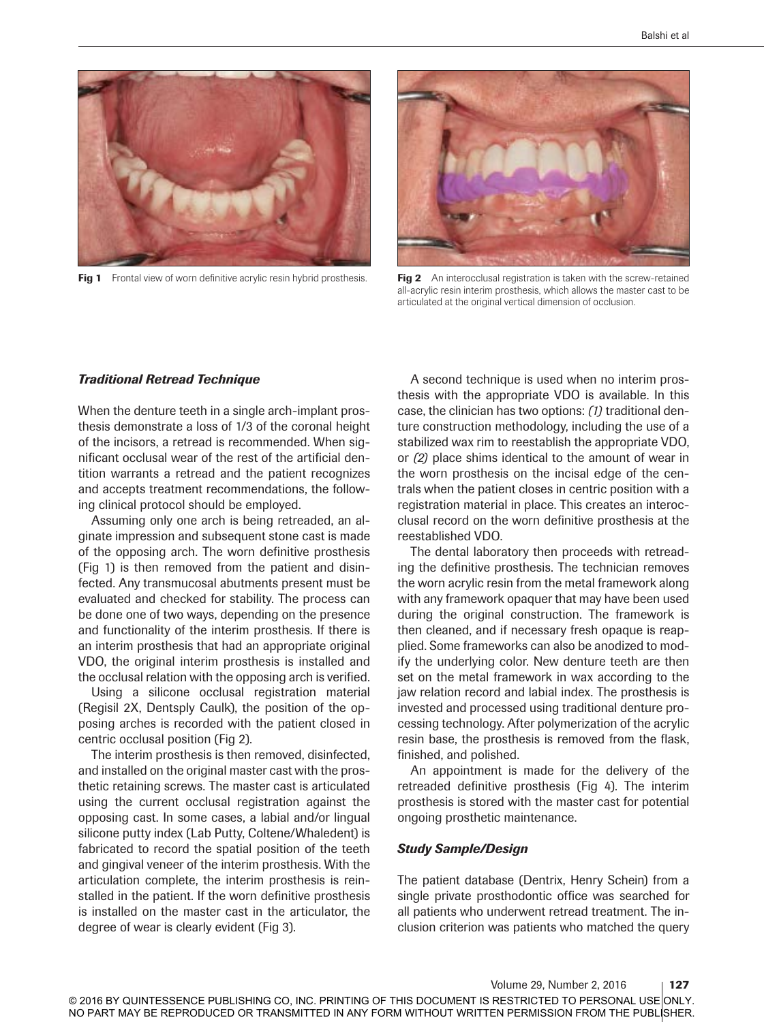

Fig 1 Frontal view of worn definitive acrylic resin hybrid prosthesis. Fig 2 An interocclusal registration is taken with the screw-retained



all-acrylic resin interim prosthesis, which allows the master cast to be articulated at the original vertical dimension of occlusion.

#### *Traditional Retread Technique*

When the denture teeth in a single arch-implant prosthesis demonstrate a loss of 1/3 of the coronal height of the incisors, a retread is recommended. When significant occlusal wear of the rest of the artificial dentition warrants a retread and the patient recognizes and accepts treatment recommendations, the following clinical protocol should be employed.

Assuming only one arch is being retreaded, an alginate impression and subsequent stone cast is made of the opposing arch. The worn definitive prosthesis (Fig 1) is then removed from the patient and disinfected. Any transmucosal abutments present must be evaluated and checked for stability. The process can be done one of two ways, depending on the presence and functionality of the interim prosthesis. If there is an interim prosthesis that had an appropriate original VDO, the original interim prosthesis is installed and the occlusal relation with the opposing arch is verified.

Using a silicone occlusal registration material (Regisil 2X, Dentsply Caulk), the position of the opposing arches is recorded with the patient closed in centric occlusal position (Fig 2).

The interim prosthesis is then removed, disinfected, and installed on the original master cast with the prosthetic retaining screws. The master cast is articulated using the current occlusal registration against the opposing cast. In some cases, a labial and/or lingual silicone putty index (Lab Putty, Coltene/Whaledent) is fabricated to record the spatial position of the teeth and gingival veneer of the interim prosthesis. With the articulation complete, the interim prosthesis is reinstalled in the patient. If the worn definitive prosthesis is installed on the master cast in the articulator, the degree of wear is clearly evident (Fig 3).

A second technique is used when no interim prosthesis with the appropriate VDO is available. In this case, the clinician has two options: *(1)* traditional denture construction methodology, including the use of a stabilized wax rim to reestablish the appropriate VDO, or *(2)* place shims identical to the amount of wear in the worn prosthesis on the incisal edge of the centrals when the patient closes in centric position with a registration material in place. This creates an interocclusal record on the worn definitive prosthesis at the reestablished VDO.

The dental laboratory then proceeds with retreading the definitive prosthesis. The technician removes the worn acrylic resin from the metal framework along with any framework opaquer that may have been used during the original construction. The framework is then cleaned, and if necessary fresh opaque is reapplied. Some frameworks can also be anodized to modify the underlying color. New denture teeth are then set on the metal framework in wax according to the jaw relation record and labial index. The prosthesis is invested and processed using traditional denture processing technology. After polymerization of the acrylic resin base, the prosthesis is removed from the flask, finished, and polished.

An appointment is made for the delivery of the retreaded definitive prosthesis (Fig 4). The interim prosthesis is stored with the master cast for potential ongoing prosthetic maintenance.

#### *Study Sample/Design*

The patient database (Dentrix, Henry Schein) from a single private prosthodontic office was searched for all patients who underwent retread treatment. The inclusion criterion was patients who matched the query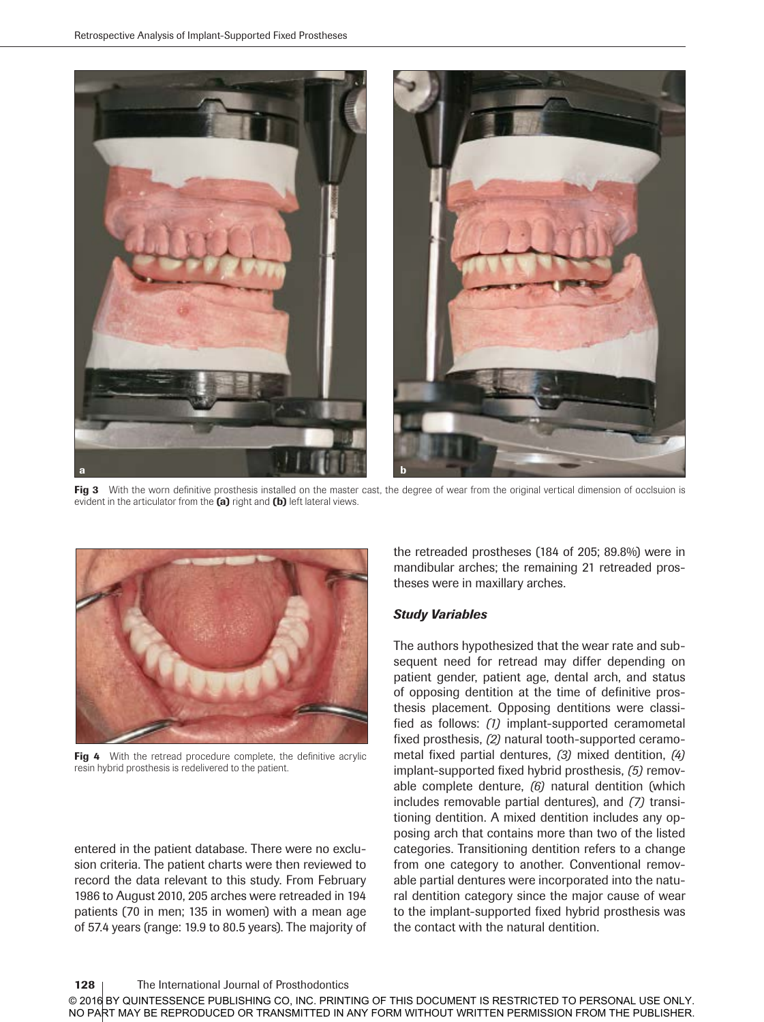

Fig 3 With the worn definitive prosthesis installed on the master cast, the degree of wear from the original vertical dimension of occlsuion is evident in the articulator from the (a) right and (b) left lateral views.



Fig 4 With the retread procedure complete, the definitive acrylic resin hybrid prosthesis is redelivered to the patient.

entered in the patient database. There were no exclusion criteria. The patient charts were then reviewed to record the data relevant to this study. From February 1986 to August 2010, 205 arches were retreaded in 194 patients (70 in men; 135 in women) with a mean age of 57.4 years (range: 19.9 to 80.5 years). The majority of the retreaded prostheses (184 of 205; 89.8%) were in mandibular arches; the remaining 21 retreaded prostheses were in maxillary arches.

# *Study Variables*

The authors hypothesized that the wear rate and subsequent need for retread may differ depending on patient gender, patient age, dental arch, and status of opposing dentition at the time of definitive prosthesis placement. Opposing dentitions were classified as follows: *(1)* implant-supported ceramometal fixed prosthesis, *(2)* natural tooth-supported ceramometal fixed partial dentures, *(3)* mixed dentition, *(4)*  implant-supported fixed hybrid prosthesis, *(5)* removable complete denture, *(6)* natural dentition (which includes removable partial dentures), and *(7)* transitioning dentition. A mixed dentition includes any opposing arch that contains more than two of the listed categories. Transitioning dentition refers to a change from one category to another. Conventional removable partial dentures were incorporated into the natural dentition category since the major cause of wear to the implant-supported fixed hybrid prosthesis was the contact with the natural dentition.

# 128 I The International Journal of Prosthodontics

© 2016 BY QUINTESSENCE PUBLISHING CO, INC. PRINTING OF THIS DOCUMENT IS RESTRICTED TO PERSONAL USE ONLY. NO PART MAY BE REPRODUCED OR TRANSMITTED IN ANY FORM WITHOUT WRITTEN PERMISSION FROM THE PUBLISHER.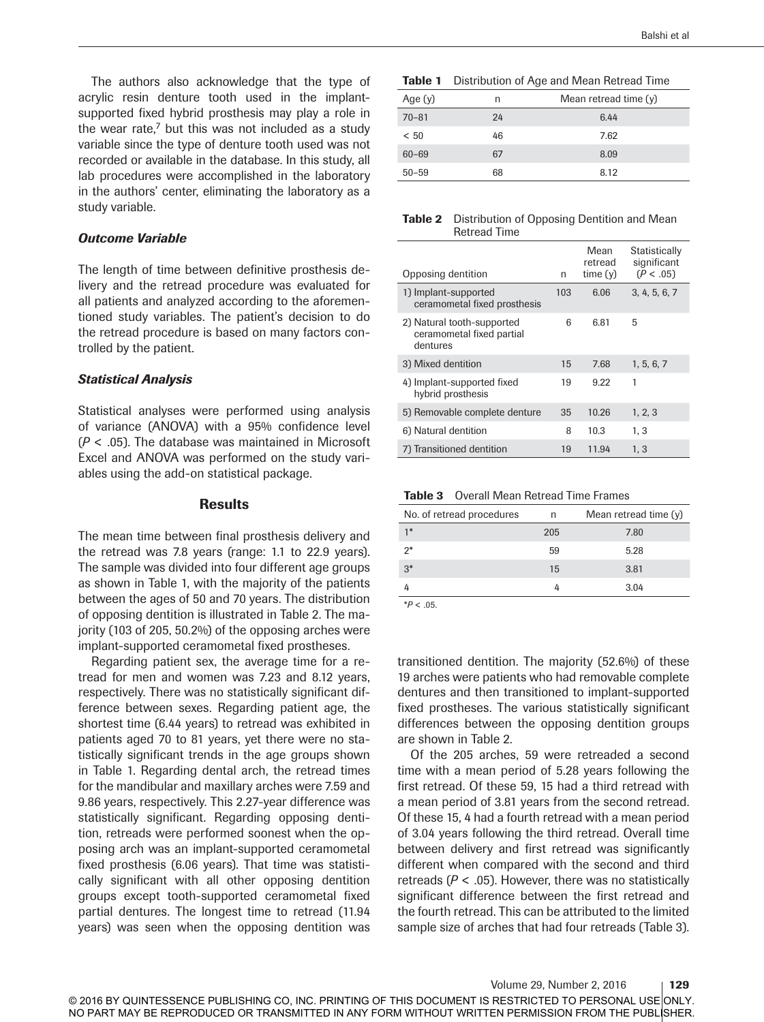The authors also acknowledge that the type of acrylic resin denture tooth used in the implantsupported fixed hybrid prosthesis may play a role in the wear rate, $<sup>7</sup>$  but this was not included as a study</sup> variable since the type of denture tooth used was not recorded or available in the database. In this study, all lab procedures were accomplished in the laboratory in the authors' center, eliminating the laboratory as a study variable.

#### *Outcome Variable*

The length of time between definitive prosthesis delivery and the retread procedure was evaluated for all patients and analyzed according to the aforementioned study variables. The patient's decision to do the retread procedure is based on many factors controlled by the patient.

#### *Statistical Analysis*

Statistical analyses were performed using analysis of variance (ANOVA) with a 95% confidence level (*P* < .05). The database was maintained in Microsoft Excel and ANOVA was performed on the study variables using the add-on statistical package.

## **Results**

The mean time between final prosthesis delivery and the retread was 7.8 years (range: 1.1 to 22.9 years). The sample was divided into four different age groups as shown in Table 1, with the majority of the patients between the ages of 50 and 70 years. The distribution of opposing dentition is illustrated in Table 2. The majority (103 of 205, 50.2%) of the opposing arches were implant-supported ceramometal fixed prostheses.

Regarding patient sex, the average time for a retread for men and women was 7.23 and 8.12 years, respectively. There was no statistically significant difference between sexes. Regarding patient age, the shortest time (6.44 years) to retread was exhibited in patients aged 70 to 81 years, yet there were no statistically significant trends in the age groups shown in Table 1. Regarding dental arch, the retread times for the mandibular and maxillary arches were 7.59 and 9.86 years, respectively. This 2.27-year difference was statistically significant. Regarding opposing dentition, retreads were performed soonest when the opposing arch was an implant-supported ceramometal fixed prosthesis (6.06 years). That time was statistically significant with all other opposing dentition groups except tooth-supported ceramometal fixed partial dentures. The longest time to retread (11.94 years) was seen when the opposing dentition was

#### Table 1 Distribution of Age and Mean Retread Time

| Age (y)   | n  | Mean retread time $(y)$ |
|-----------|----|-------------------------|
| $70 - 81$ | 24 | 6.44                    |
| < 50      | 46 | 7.62                    |
| $60 - 69$ | 67 | 8.09                    |
| $50 - 59$ | 68 | 8.12                    |

Table 2 Distribution of Opposing Dentition and Mean Retread Time

| Opposing dentition                                                  | n   | Mean<br>retread<br>time(y) | Statistically<br>significant<br>(P < .05) |
|---------------------------------------------------------------------|-----|----------------------------|-------------------------------------------|
| 1) Implant-supported<br>ceramometal fixed prosthesis                | 103 | 6.06                       | 3.4.5.6.7                                 |
| 2) Natural tooth-supported<br>ceramometal fixed partial<br>dentures | 6   | 6.81                       | 5                                         |
| 3) Mixed dentition                                                  | 15  | 7.68                       | 1, 5, 6, 7                                |
| 4) Implant-supported fixed<br>hybrid prosthesis                     | 19  | 9.22                       | 1                                         |
| 5) Removable complete denture                                       | 35  | 10.26                      | 1, 2, 3                                   |
| 6) Natural dentition                                                | 8   | 10.3                       | 1. 3                                      |
| 7) Transitioned dentition                                           | 19  | 11.94                      | 1, 3                                      |

Table 3 Overall Mean Retread Time Frames

| No. of retread procedures | n   | Mean retread time $(y)$ |
|---------------------------|-----|-------------------------|
| $1*$                      | 205 | 7.80                    |
| $2^*$                     | 59  | 5.28                    |
| $3*$                      | 15  | 3.81                    |
|                           | 4   | 3.04                    |
| $*D \times 05$            |     |                         |

\**P* < .05.

transitioned dentition. The majority (52.6%) of these 19 arches were patients who had removable complete dentures and then transitioned to implant-supported fixed prostheses. The various statistically significant differences between the opposing dentition groups are shown in Table 2.

Of the 205 arches, 59 were retreaded a second time with a mean period of 5.28 years following the first retread. Of these 59, 15 had a third retread with a mean period of 3.81 years from the second retread. Of these 15, 4 had a fourth retread with a mean period of 3.04 years following the third retread. Overall time between delivery and first retread was significantly different when compared with the second and third retreads ( $P < .05$ ). However, there was no statistically significant difference between the first retread and the fourth retread. This can be attributed to the limited sample size of arches that had four retreads (Table 3).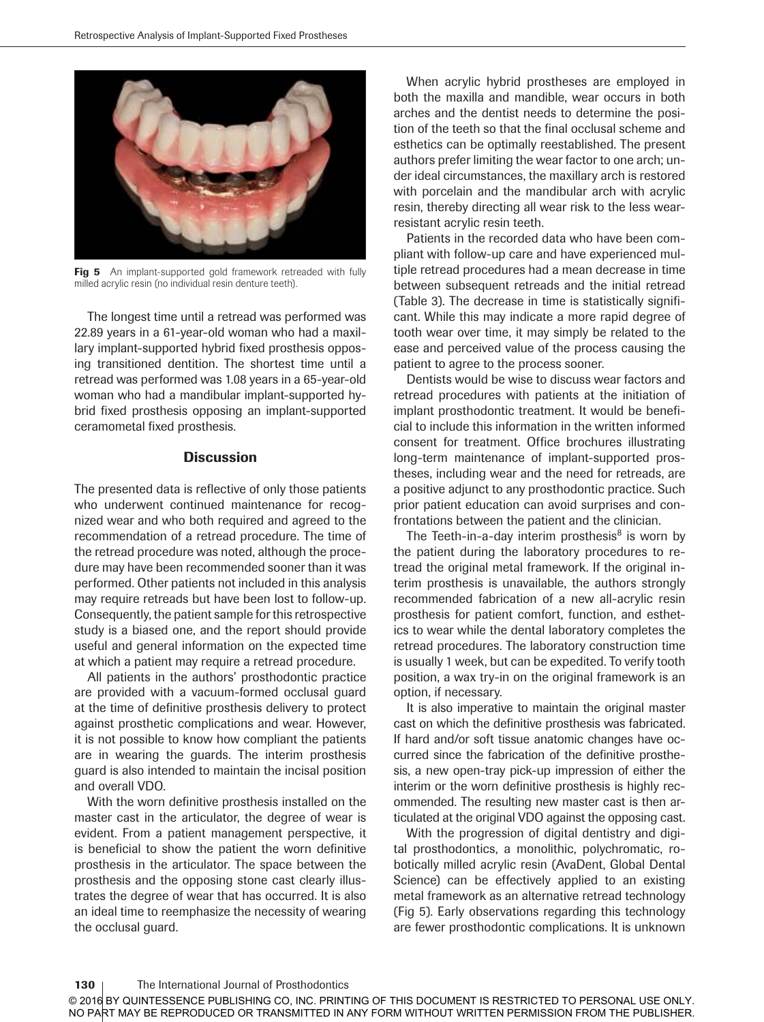

Fig 5 An implant-supported gold framework retreaded with fully milled acrylic resin (no individual resin denture teeth).

The longest time until a retread was performed was 22.89 years in a 61-year-old woman who had a maxillary implant-supported hybrid fixed prosthesis opposing transitioned dentition. The shortest time until a retread was performed was 1.08 years in a 65-year-old woman who had a mandibular implant-supported hybrid fixed prosthesis opposing an implant-supported ceramometal fixed prosthesis.

## **Discussion**

The presented data is reflective of only those patients who underwent continued maintenance for recognized wear and who both required and agreed to the recommendation of a retread procedure. The time of the retread procedure was noted, although the procedure may have been recommended sooner than it was performed. Other patients not included in this analysis may require retreads but have been lost to follow-up. Consequently, the patient sample for this retrospective study is a biased one, and the report should provide useful and general information on the expected time at which a patient may require a retread procedure.

All patients in the authors' prosthodontic practice are provided with a vacuum-formed occlusal guard at the time of definitive prosthesis delivery to protect against prosthetic complications and wear. However, it is not possible to know how compliant the patients are in wearing the guards. The interim prosthesis guard is also intended to maintain the incisal position and overall VDO.

With the worn definitive prosthesis installed on the master cast in the articulator, the degree of wear is evident. From a patient management perspective, it is beneficial to show the patient the worn definitive prosthesis in the articulator. The space between the prosthesis and the opposing stone cast clearly illustrates the degree of wear that has occurred. It is also an ideal time to reemphasize the necessity of wearing the occlusal guard.

When acrylic hybrid prostheses are employed in both the maxilla and mandible, wear occurs in both arches and the dentist needs to determine the position of the teeth so that the final occlusal scheme and esthetics can be optimally reestablished. The present authors prefer limiting the wear factor to one arch; under ideal circumstances, the maxillary arch is restored with porcelain and the mandibular arch with acrylic resin, thereby directing all wear risk to the less wearresistant acrylic resin teeth.

Patients in the recorded data who have been compliant with follow-up care and have experienced multiple retread procedures had a mean decrease in time between subsequent retreads and the initial retread (Table 3). The decrease in time is statistically significant. While this may indicate a more rapid degree of tooth wear over time, it may simply be related to the ease and perceived value of the process causing the patient to agree to the process sooner.

Dentists would be wise to discuss wear factors and retread procedures with patients at the initiation of implant prosthodontic treatment. It would be beneficial to include this information in the written informed consent for treatment. Office brochures illustrating long-term maintenance of implant-supported prostheses, including wear and the need for retreads, are a positive adjunct to any prosthodontic practice. Such prior patient education can avoid surprises and confrontations between the patient and the clinician.

The Teeth-in-a-day interim prosthesis $8$  is worn by the patient during the laboratory procedures to retread the original metal framework. If the original interim prosthesis is unavailable, the authors strongly recommended fabrication of a new all-acrylic resin prosthesis for patient comfort, function, and esthetics to wear while the dental laboratory completes the retread procedures. The laboratory construction time is usually 1 week, but can be expedited. To verify tooth position, a wax try-in on the original framework is an option, if necessary.

It is also imperative to maintain the original master cast on which the definitive prosthesis was fabricated. If hard and/or soft tissue anatomic changes have occurred since the fabrication of the definitive prosthesis, a new open-tray pick-up impression of either the interim or the worn definitive prosthesis is highly recommended. The resulting new master cast is then articulated at the original VDO against the opposing cast.

With the progression of digital dentistry and digital prosthodontics, a monolithic, polychromatic, robotically milled acrylic resin (AvaDent, Global Dental Science) can be effectively applied to an existing metal framework as an alternative retread technology (Fig 5). Early observations regarding this technology are fewer prosthodontic complications. It is unknown

© 2016 BY QUINTESSENCE PUBLISHING CO, INC. PRINTING OF THIS DOCUMENT IS RESTRICTED TO PERSONAL USE ONLY. NO PART MAY BE REPRODUCED OR TRANSMITTED IN ANY FORM WITHOUT WRITTEN PERMISSION FROM THE PUBLISHER.